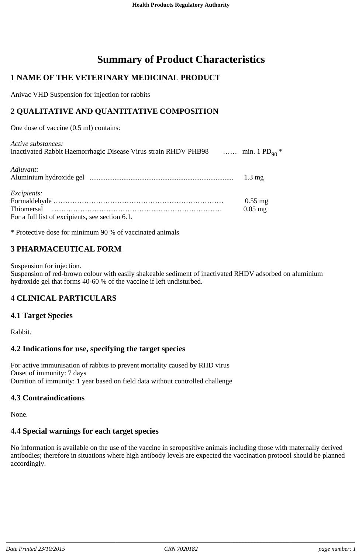# **Summary of Product Characteristics**

### **1 NAME OF THE VETERINARY MEDICINAL PRODUCT**

Anivac VHD Suspension for injection for rabbits

### **2 QUALITATIVE AND QUANTITATIVE COMPOSITION**

One dose of vaccine (0.5 ml) contains:

| Active substances:                                                                         |                  |
|--------------------------------------------------------------------------------------------|------------------|
| Inactivated Rabbit Haemorrhagic Disease Virus strain RHDV PHB98  min. 1 PD <sub>90</sub> * |                  |
|                                                                                            |                  |
| Adjuvant:                                                                                  |                  |
|                                                                                            | $1.3 \text{ mg}$ |

| <i>Excipients:</i>                              |           |
|-------------------------------------------------|-----------|
|                                                 | $0.55$ mg |
|                                                 | $0.05$ mg |
| For a full list of excipients, see section 6.1. |           |

\* Protective dose for minimum 90 % of vaccinated animals

### **3 PHARMACEUTICAL FORM**

Suspension for injection.

Suspension of red-brown colour with easily shakeable sediment of inactivated RHDV adsorbed on aluminium hydroxide gel that forms 40-60 % of the vaccine if left undisturbed.

#### **4 CLINICAL PARTICULARS**

#### **4.1 Target Species**

Rabbit.

#### **4.2 Indications for use, specifying the target species**

For active immunisation of rabbits to prevent mortality caused by RHD virus Onset of immunity: 7 days Duration of immunity: 1 year based on field data without controlled challenge

#### **4.3 Contraindications**

None.

#### **4.4 Special warnings for each target species**

No information is available on the use of the vaccine in seropositive animals including those with maternally derived antibodies; therefore in situations where high antibody levels are expected the vaccination protocol should be planned accordingly.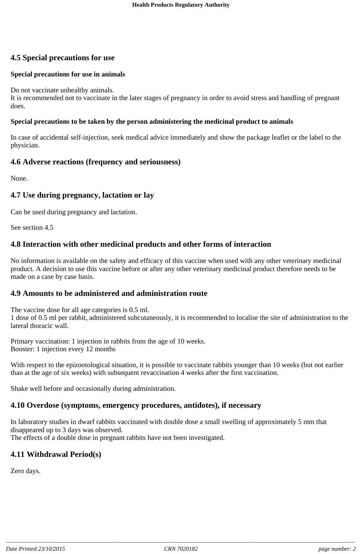### **4.5 Special precautions for use**

#### **Special precautions for use in animals**

Do not vaccinate unhealthy animals.

It is recommended not to vaccinate in the later stages of pregnancy in order to avoid stress and handling of pregnant does.

#### **Special precautions to be taken by the person administering the medicinal product to animals**

In case of accidental self-injection, seek medical advice immediately and show the package leaflet or the label to the physician.

#### **4.6 Adverse reactions (frequency and seriousness)**

None.

#### **4.7 Use during pregnancy, lactation or lay**

Can be used during pregnancy and lactation.

See section 4.5

#### **4.8 Interaction with other medicinal products and other forms of interaction**

No information is available on the safety and efficacy of this vaccine when used with any other veterinary medicinal product. A decision to use this vaccine before or after any other veterinary medicinal product therefore needs to be made on a case by case basis.

#### **4.9 Amounts to be administered and administration route**

The vaccine dose for all age categories is 0.5 ml. 1 dose of 0.5 ml per rabbit, administered subcutaneously, it is recommended to localise the site of administration to the lateral thoracic wall.

Primary vaccination: 1 injection in rabbits from the age of 10 weeks. Booster: 1 injection every 12 months

With respect to the epizootological situation, it is possible to vaccinate rabbits younger than 10 weeks (but not earlier than at the age of six weeks) with subsequent revaccination 4 weeks after the first vaccination.

Shake well before and occasionally during administration.

#### **4.10 Overdose (symptoms, emergency procedures, antidotes), if necessary**

In laboratory studies in dwarf rabbits vaccinated with double dose a small swelling of approximately 5 mm that disappeared up to 3 days was observed. The effects of a double dose in pregnant rabbits have not been investigated.

#### **4.11 Withdrawal Period(s)**

Zero days.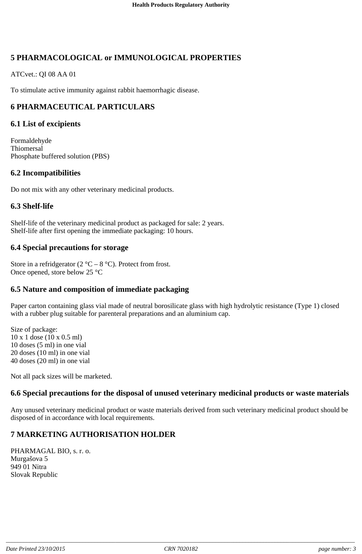### **5 PHARMACOLOGICAL or IMMUNOLOGICAL PROPERTIES**

ATCvet.: QI 08 AA 01

To stimulate active immunity against rabbit haemorrhagic disease.

### **6 PHARMACEUTICAL PARTICULARS**

#### **6.1 List of excipients**

Formaldehyde **Thiomersal** Phosphate buffered solution (PBS)

#### **6.2 Incompatibilities**

Do not mix with any other veterinary medicinal products.

#### **6.3 Shelf-life**

Shelf-life of the veterinary medicinal product as packaged for sale: 2 years. Shelf-life after first opening the immediate packaging: 10 hours.

#### **6.4 Special precautions for storage**

Store in a refridgerator (2  $^{\circ}$ C – 8  $^{\circ}$ C). Protect from frost. Once opened, store below 25 °C

#### **6.5 Nature and composition of immediate packaging**

Paper carton containing glass vial made of neutral borosilicate glass with high hydrolytic resistance (Type 1) closed with a rubber plug suitable for parenteral preparations and an aluminium cap.

Size of package: x 1 dose (10 x 0.5 ml) doses (5 ml) in one vial doses (10 ml) in one vial doses (20 ml) in one vial

Not all pack sizes will be marketed.

#### **6.6 Special precautions for the disposal of unused veterinary medicinal products or waste materials**

Any unused veterinary medicinal product or waste materials derived from such veterinary medicinal product should be disposed of in accordance with local requirements.

### **7 MARKETING AUTHORISATION HOLDER**

PHARMAGAL BIO, s. r. o. Murgašova 5 949 01 Nitra Slovak Republic